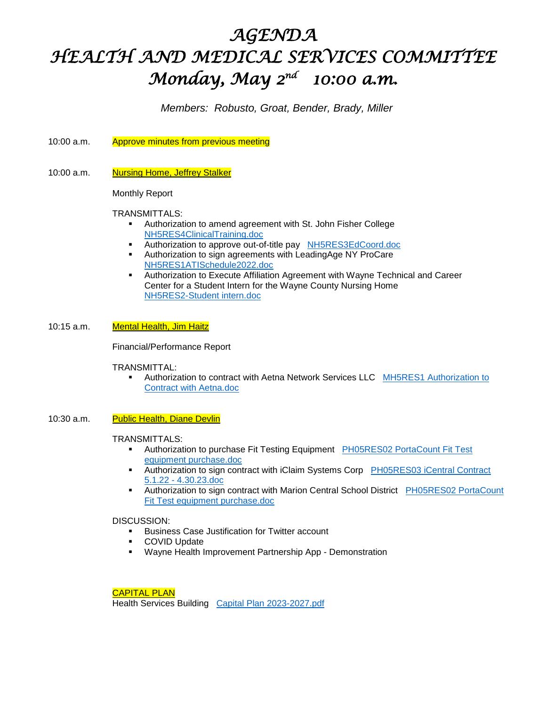# *AGENDA HEALTH AND MEDICAL SERVICES COMMITTEE Monday, May 2nd 10:00 a.m.*

*Members: Robusto, Groat, Bender, Brady, Miller*

- 10:00 a.m. Approve minutes from previous meeting
- 10:00 a.m. Nursing Home, Jeffrey Stalker

Monthly Report

## TRANSMITTALS:

- Authorization to amend agreement with St. John Fisher College <NH5RES4ClinicalTraining.doc>
- Authorization to approve out-of-title pay <NH5RES3EdCoord.doc>
- Authorization to sign agreements with LeadingAge NY ProCare <NH5RES1ATISchedule2022.doc>
- Authorization to Execute Affiliation Agreement with Wayne Technical and Career Center for a Student Intern for the Wayne County Nursing Home [NH5RES2-Student intern.doc](NH5RES2-Student%20intern.doc)

## 10:15 a.m. Mental Health, Jim Haitz

Financial/Performance Report

## TRANSMITTAL:

Authorization to contract with Aetna Network Services LLC MH5RES1 Authorization to [Contract with Aetna.doc](MH5RES1%20Authorization%20to%20Contract%20with%20Aetna.doc)

## 10:30 a.m. Public Health, Diane Devlin

#### TRANSMITTALS:

- Authorization to purchase Fit Testing Equipment [PH05RES02 PortaCount Fit Test](PH05RES02%20PortaCount%20Fit%20Test%20equipment%20purchase.doc)  [equipment purchase.doc](PH05RES02%20PortaCount%20Fit%20Test%20equipment%20purchase.doc)
- Authorization to sign contract with iClaim Systems Corp PH05RES03 iCentral Contract 5.1.22 - [4.30.23.doc](PH05RES03%20iCentral%20Contract%205.1.22%20-%204.30.23.doc)
- Authorization to sign contract with Marion Central School District PH05RES02 PortaCount [Fit Test equipment purchase.doc](PH05RES02%20PortaCount%20Fit%20Test%20equipment%20purchase.doc)

## DISCUSSION:

- **Business Case Justification for Twitter account**
- COVID Update
- Wayne Health Improvement Partnership App Demonstration

CAPITAL PLAN

Health Services Building [Capital Plan 2023-2027.pdf](Capital%20Plan%202023-2027.pdf)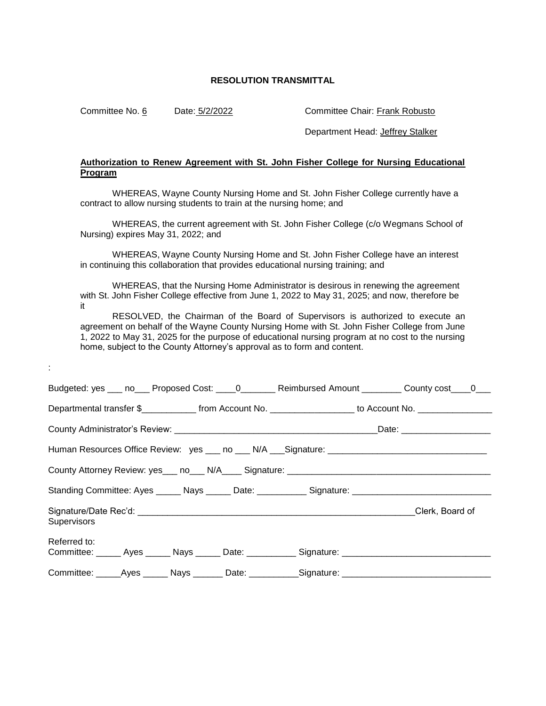Committee No. 6 Date: 5/2/2022 Committee Chair: Frank Robusto

:

Department Head: Jeffrey Stalker

## **Authorization to Renew Agreement with St. John Fisher College for Nursing Educational Program**

WHEREAS, Wayne County Nursing Home and St. John Fisher College currently have a contract to allow nursing students to train at the nursing home; and

WHEREAS, the current agreement with St. John Fisher College (c/o Wegmans School of Nursing) expires May 31, 2022; and

WHEREAS, Wayne County Nursing Home and St. John Fisher College have an interest in continuing this collaboration that provides educational nursing training; and

WHEREAS, that the Nursing Home Administrator is desirous in renewing the agreement with St. John Fisher College effective from June 1, 2022 to May 31, 2025; and now, therefore be it

RESOLVED, the Chairman of the Board of Supervisors is authorized to execute an agreement on behalf of the Wayne County Nursing Home with St. John Fisher College from June 1, 2022 to May 31, 2025 for the purpose of educational nursing program at no cost to the nursing home, subject to the County Attorney's approval as to form and content.

|                                                                                                      |  |  |                                                                                                     | Budgeted: yes ___ no___ Proposed Cost: ____0_______ Reimbursed Amount ________ County cost____0___    |
|------------------------------------------------------------------------------------------------------|--|--|-----------------------------------------------------------------------------------------------------|-------------------------------------------------------------------------------------------------------|
|                                                                                                      |  |  |                                                                                                     | Departmental transfer \$_____________ from Account No. _________________ to Account No. _____________ |
|                                                                                                      |  |  |                                                                                                     |                                                                                                       |
|                                                                                                      |  |  |                                                                                                     |                                                                                                       |
|                                                                                                      |  |  |                                                                                                     |                                                                                                       |
| Standing Committee: Ayes ______ Nays ______ Date: ____________ Signature: __________________________ |  |  |                                                                                                     |                                                                                                       |
| Supervisors                                                                                          |  |  |                                                                                                     | Clerk, Board of                                                                                       |
| Referred to:                                                                                         |  |  | Committee: ______ Ayes ______ Nays ______ Date: ___________ Signature: ____________________________ |                                                                                                       |
|                                                                                                      |  |  | Committee: _____Ayes ______ Nays _______ Date: ___________Signature: ____________                   |                                                                                                       |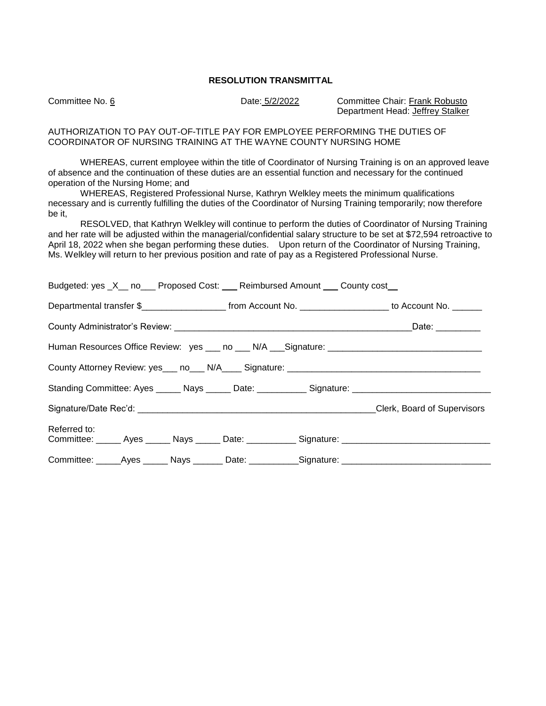Committee No. 6 Date: 5/2/2022 Committee Chair: Frank Robusto Department Head: Jeffrey Stalker

AUTHORIZATION TO PAY OUT-OF-TITLE PAY FOR EMPLOYEE PERFORMING THE DUTIES OF COORDINATOR OF NURSING TRAINING AT THE WAYNE COUNTY NURSING HOME

WHEREAS, current employee within the title of Coordinator of Nursing Training is on an approved leave of absence and the continuation of these duties are an essential function and necessary for the continued operation of the Nursing Home; and

WHEREAS, Registered Professional Nurse, Kathryn Welkley meets the minimum qualifications necessary and is currently fulfilling the duties of the Coordinator of Nursing Training temporarily; now therefore be it,

RESOLVED, that Kathryn Welkley will continue to perform the duties of Coordinator of Nursing Training and her rate will be adjusted within the managerial/confidential salary structure to be set at \$72,594 retroactive to April 18, 2022 when she began performing these duties. Upon return of the Coordinator of Nursing Training, Ms. Welkley will return to her previous position and rate of pay as a Registered Professional Nurse.

| Budgeted: yes _X__ no___ Proposed Cost: ___ Reimbursed Amount ___ County cost__                                      |                 |  |  |  |  |  |
|----------------------------------------------------------------------------------------------------------------------|-----------------|--|--|--|--|--|
| Departmental transfer \$_________________________ from Account No. _____________________ to Account No. _______      |                 |  |  |  |  |  |
|                                                                                                                      | Date: _________ |  |  |  |  |  |
|                                                                                                                      |                 |  |  |  |  |  |
|                                                                                                                      |                 |  |  |  |  |  |
| Standing Committee: Ayes ______ Nays ______ Date: ___________ Signature: __________________________                  |                 |  |  |  |  |  |
|                                                                                                                      |                 |  |  |  |  |  |
| Referred to:<br>Committee: ______ Ayes ______ Nays ______ Date: ___________ Signature: _____________________________ |                 |  |  |  |  |  |
| Committee: ______Ayes _______ Nays ________ Date: ___________Signature: ____________________________                 |                 |  |  |  |  |  |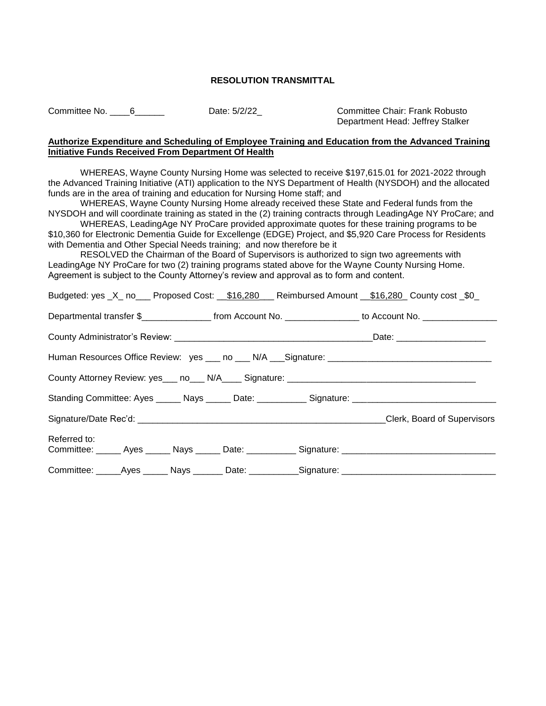Committee No. 6 \_\_\_\_\_6 \_\_\_\_\_\_ Date: 5/2/22\_ Committee Chair: Frank Robusto

Department Head: Jeffrey Stalker

## **Authorize Expenditure and Scheduling of Employee Training and Education from the Advanced Training Initiative Funds Received From Department Of Health**

WHEREAS, Wayne County Nursing Home was selected to receive \$197,615.01 for 2021-2022 through the Advanced Training Initiative (ATI) application to the NYS Department of Health (NYSDOH) and the allocated funds are in the area of training and education for Nursing Home staff; and

WHEREAS, Wayne County Nursing Home already received these State and Federal funds from the NYSDOH and will coordinate training as stated in the (2) training contracts through LeadingAge NY ProCare; and

WHEREAS, LeadingAge NY ProCare provided approximate quotes for these training programs to be \$10,360 for Electronic Dementia Guide for Excellenge (EDGE) Project, and \$5,920 Care Process for Residents with Dementia and Other Special Needs training; and now therefore be it

RESOLVED the Chairman of the Board of Supervisors is authorized to sign two agreements with LeadingAge NY ProCare for two (2) training programs stated above for the Wayne County Nursing Home. Agreement is subject to the County Attorney's review and approval as to form and content.

| Budgeted: yes _X_ no___ Proposed Cost: __\$16,280 __ Reimbursed Amount __\$16,280 County cost _\$0                   |                                |
|----------------------------------------------------------------------------------------------------------------------|--------------------------------|
| Departmental transfer \$____________________ from Account No. _________________ to Account No. ________________      |                                |
|                                                                                                                      | Date: ________________________ |
| Human Resources Office Review: yes ___ no ___ N/A ___ Signature: ___________________________________                 |                                |
|                                                                                                                      |                                |
| Standing Committee: Ayes ______ Nays ______ Date: ___________ Signature: ___________________________                 |                                |
|                                                                                                                      |                                |
| Referred to:<br>Committee: ______ Ayes ______ Nays ______ Date: ___________ Signature: _____________________________ |                                |
| Committee: _____Ayes ______ Nays _______ Date: ___________Signature: ______________________________                  |                                |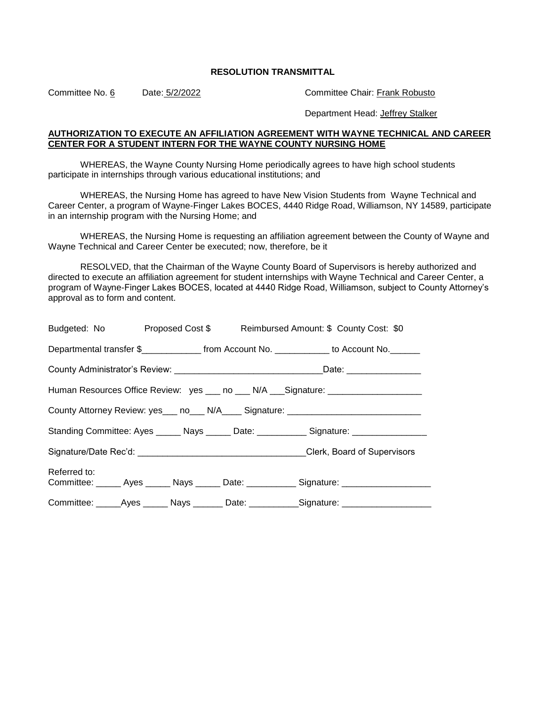Committee No. 6 Date: 5/2/2022 Committee Chair: Frank Robusto

Department Head: Jeffrey Stalker

#### **AUTHORIZATION TO EXECUTE AN AFFILIATION AGREEMENT WITH WAYNE TECHNICAL AND CAREER CENTER FOR A STUDENT INTERN FOR THE WAYNE COUNTY NURSING HOME**

WHEREAS, the Wayne County Nursing Home periodically agrees to have high school students participate in internships through various educational institutions; and

WHEREAS, the Nursing Home has agreed to have New Vision Students from Wayne Technical and Career Center, a program of Wayne-Finger Lakes BOCES, 4440 Ridge Road, Williamson, NY 14589, participate in an internship program with the Nursing Home; and

WHEREAS, the Nursing Home is requesting an affiliation agreement between the County of Wayne and Wayne Technical and Career Center be executed; now, therefore, be it

RESOLVED, that the Chairman of the Wayne County Board of Supervisors is hereby authorized and directed to execute an affiliation agreement for student internships with Wayne Technical and Career Center, a program of Wayne-Finger Lakes BOCES, located at 4440 Ridge Road, Williamson, subject to County Attorney's approval as to form and content.

|                                                                                  |  |  |  | Budgeted: No Proposed Cost \$ Reimbursed Amount: \$ County Cost: \$0                                |  |
|----------------------------------------------------------------------------------|--|--|--|-----------------------------------------------------------------------------------------------------|--|
|                                                                                  |  |  |  | Departmental transfer \$_______________ from Account No. ____________ to Account No. _______        |  |
|                                                                                  |  |  |  |                                                                                                     |  |
|                                                                                  |  |  |  | Human Resources Office Review: yes ___ no ___ N/A ___Signature: ________________                    |  |
| County Attorney Review: yes___ no___ N/A____ Signature: ________________________ |  |  |  |                                                                                                     |  |
|                                                                                  |  |  |  | Standing Committee: Ayes ______ Nays ______ Date: ____________ Signature: _________________         |  |
|                                                                                  |  |  |  |                                                                                                     |  |
| Referred to:                                                                     |  |  |  | Committee: ______ Ayes ______ Nays ______ Date: ___________ Signature: ________________             |  |
|                                                                                  |  |  |  | Committee: ______Ayes ______ Nays _______ Date: ___________Signature: _____________________________ |  |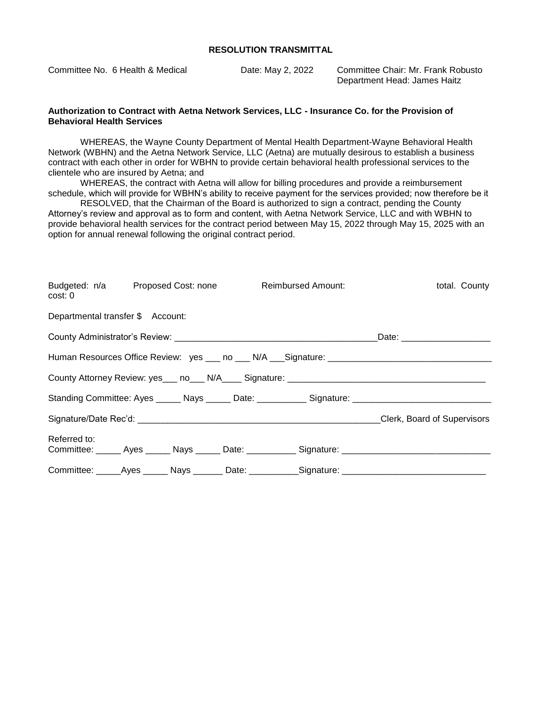Committee No. 6 Health & Medical Date: May 2, 2022 Committee Chair: Mr. Frank Robusto

Department Head: James Haitz

#### **Authorization to Contract with Aetna Network Services, LLC - Insurance Co. for the Provision of Behavioral Health Services**

WHEREAS, the Wayne County Department of Mental Health Department-Wayne Behavioral Health Network (WBHN) and the Aetna Network Service, LLC (Aetna) are mutually desirous to establish a business contract with each other in order for WBHN to provide certain behavioral health professional services to the clientele who are insured by Aetna; and

WHEREAS, the contract with Aetna will allow for billing procedures and provide a reimbursement schedule, which will provide for WBHN's ability to receive payment for the services provided; now therefore be it

RESOLVED, that the Chairman of the Board is authorized to sign a contract, pending the County Attorney's review and approval as to form and content, with Aetna Network Service, LLC and with WBHN to provide behavioral health services for the contract period between May 15, 2022 through May 15, 2025 with an option for annual renewal following the original contract period.

| cost: 0                           | Budgeted: n/a Proposed Cost: none Reimbursed Amount: |  | total. County                                                                                        |  |
|-----------------------------------|------------------------------------------------------|--|------------------------------------------------------------------------------------------------------|--|
| Departmental transfer \$ Account: |                                                      |  |                                                                                                      |  |
|                                   |                                                      |  | Date: _________________________                                                                      |  |
|                                   |                                                      |  | Human Resources Office Review: yes ___ no ___ N/A ___ Signature: ___________________________________ |  |
|                                   |                                                      |  |                                                                                                      |  |
|                                   |                                                      |  | Standing Committee: Ayes ______ Nays ______ Date: ___________ Signature: ___________________________ |  |
|                                   |                                                      |  |                                                                                                      |  |
| Referred to:                      |                                                      |  | Committee: ______ Ayes ______ Nays ______ Date: ___________ Signature: _____________________________ |  |
|                                   |                                                      |  | Committee: _____Ayes ______ Nays _______ Date: ___________Signature: ______________________________  |  |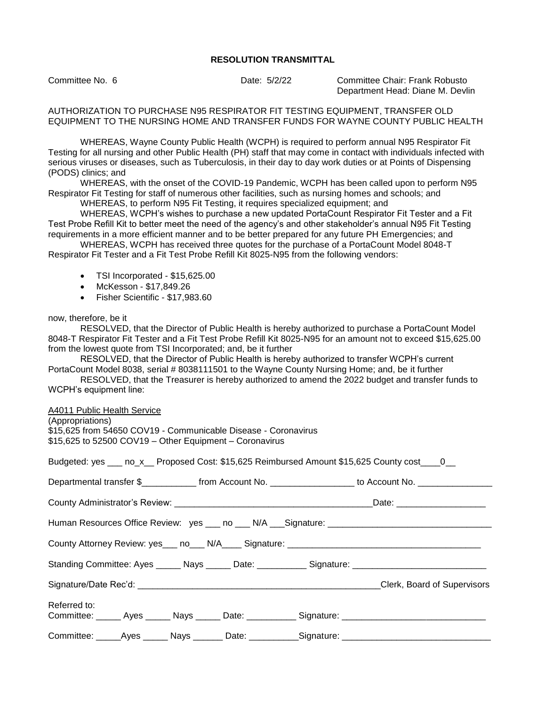Committee No. 6 Date: 5/2/22 Committee Chair: Frank Robusto Department Head: Diane M. Devlin

AUTHORIZATION TO PURCHASE N95 RESPIRATOR FIT TESTING EQUIPMENT, TRANSFER OLD EQUIPMENT TO THE NURSING HOME AND TRANSFER FUNDS FOR WAYNE COUNTY PUBLIC HEALTH

WHEREAS, Wayne County Public Health (WCPH) is required to perform annual N95 Respirator Fit Testing for all nursing and other Public Health (PH) staff that may come in contact with individuals infected with serious viruses or diseases, such as Tuberculosis, in their day to day work duties or at Points of Dispensing (PODS) clinics; and

WHEREAS, with the onset of the COVID-19 Pandemic, WCPH has been called upon to perform N95 Respirator Fit Testing for staff of numerous other facilities, such as nursing homes and schools; and

WHEREAS, to perform N95 Fit Testing, it requires specialized equipment; and

WHEREAS, WCPH's wishes to purchase a new updated PortaCount Respirator Fit Tester and a Fit Test Probe Refill Kit to better meet the need of the agency's and other stakeholder's annual N95 Fit Testing requirements in a more efficient manner and to be better prepared for any future PH Emergencies; and

WHEREAS, WCPH has received three quotes for the purchase of a PortaCount Model 8048-T Respirator Fit Tester and a Fit Test Probe Refill Kit 8025-N95 from the following vendors:

- TSI Incorporated \$15,625.00
- McKesson \$17,849.26
- Fisher Scientific \$17,983.60

#### now, therefore, be it

RESOLVED, that the Director of Public Health is hereby authorized to purchase a PortaCount Model 8048-T Respirator Fit Tester and a Fit Test Probe Refill Kit 8025-N95 for an amount not to exceed \$15,625.00 from the lowest quote from TSI Incorporated; and, be it further

RESOLVED, that the Director of Public Health is hereby authorized to transfer WCPH's current PortaCount Model 8038, serial # 8038111501 to the Wayne County Nursing Home; and, be it further

RESOLVED, that the Treasurer is hereby authorized to amend the 2022 budget and transfer funds to WCPH's equipment line:

A4011 Public Health Service

| (Appropriations)                                                                                     |  |  |  |
|------------------------------------------------------------------------------------------------------|--|--|--|
| \$15,625 from 54650 COV19 - Communicable Disease - Coronavirus                                       |  |  |  |
| \$15,625 to 52500 COV19 - Other Equipment - Coronavirus                                              |  |  |  |
|                                                                                                      |  |  |  |
| Budgeted: yes ____ no_x___ Proposed Cost: \$15,625 Reimbursed Amount \$15,625 County cost ____0___   |  |  |  |
|                                                                                                      |  |  |  |
| Departmental transfer \$_____________ from Account No. ________________ to Account No. _____________ |  |  |  |
|                                                                                                      |  |  |  |
|                                                                                                      |  |  |  |
|                                                                                                      |  |  |  |
|                                                                                                      |  |  |  |
|                                                                                                      |  |  |  |
|                                                                                                      |  |  |  |
| Standing Committee: Ayes ______ Nays ______ Date: ___________ Signature: __________________________  |  |  |  |
|                                                                                                      |  |  |  |
|                                                                                                      |  |  |  |
| Referred to:                                                                                         |  |  |  |
| Committee: ______ Ayes ______ Nays ______ Date: ___________ Signature: _____________________________ |  |  |  |
| Committee: _____Ayes ______ Nays _______ Date: ____________Signature: __________                     |  |  |  |
|                                                                                                      |  |  |  |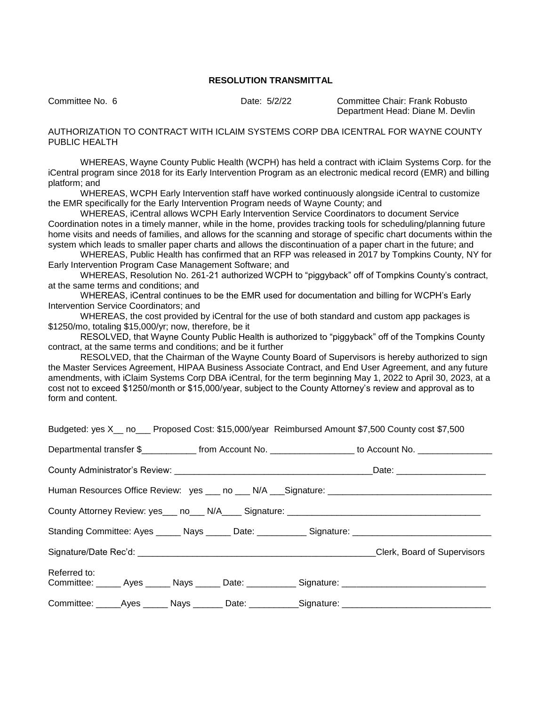Committee No. 6 Date: 5/2/22 Committee Chair: Frank Robusto Department Head: Diane M. Devlin

AUTHORIZATION TO CONTRACT WITH ICLAIM SYSTEMS CORP DBA ICENTRAL FOR WAYNE COUNTY PUBLIC HEALTH

WHEREAS, Wayne County Public Health (WCPH) has held a contract with iClaim Systems Corp. for the iCentral program since 2018 for its Early Intervention Program as an electronic medical record (EMR) and billing platform; and

WHEREAS, WCPH Early Intervention staff have worked continuously alongside iCentral to customize the EMR specifically for the Early Intervention Program needs of Wayne County; and

WHEREAS, iCentral allows WCPH Early Intervention Service Coordinators to document Service Coordination notes in a timely manner, while in the home, provides tracking tools for scheduling/planning future home visits and needs of families, and allows for the scanning and storage of specific chart documents within the system which leads to smaller paper charts and allows the discontinuation of a paper chart in the future; and

WHEREAS, Public Health has confirmed that an RFP was released in 2017 by Tompkins County, NY for Early Intervention Program Case Management Software; and

WHEREAS, Resolution No. 261-21 authorized WCPH to "piggyback" off of Tompkins County's contract, at the same terms and conditions; and

WHEREAS, iCentral continues to be the EMR used for documentation and billing for WCPH's Early Intervention Service Coordinators; and

WHEREAS, the cost provided by iCentral for the use of both standard and custom app packages is \$1250/mo, totaling \$15,000/yr; now, therefore, be it

RESOLVED, that Wayne County Public Health is authorized to "piggyback" off of the Tompkins County contract, at the same terms and conditions; and be it further

RESOLVED, that the Chairman of the Wayne County Board of Supervisors is hereby authorized to sign the Master Services Agreement, HIPAA Business Associate Contract, and End User Agreement, and any future amendments, with iClaim Systems Corp DBA iCentral, for the term beginning May 1, 2022 to April 30, 2023, at a cost not to exceed \$1250/month or \$15,000/year, subject to the County Attorney's review and approval as to form and content.

|              |  |  | Budgeted: yes X_ no__ Proposed Cost: \$15,000/year Reimbursed Amount \$7,500 County cost \$7,500      |
|--------------|--|--|-------------------------------------------------------------------------------------------------------|
|              |  |  | Departmental transfer \$_____________ from Account No. _________________ to Account No. _____________ |
|              |  |  |                                                                                                       |
|              |  |  |                                                                                                       |
|              |  |  |                                                                                                       |
|              |  |  | Standing Committee: Ayes ______ Nays ______ Date: ___________ Signature: __________________________   |
|              |  |  |                                                                                                       |
| Referred to: |  |  | Committee: ______ Ayes ______ Nays ______ Date: ___________ Signature: ____________________________   |
|              |  |  | Committee: ______Ayes ______ Nays _______ Date: ___________Signature: _____________________________   |